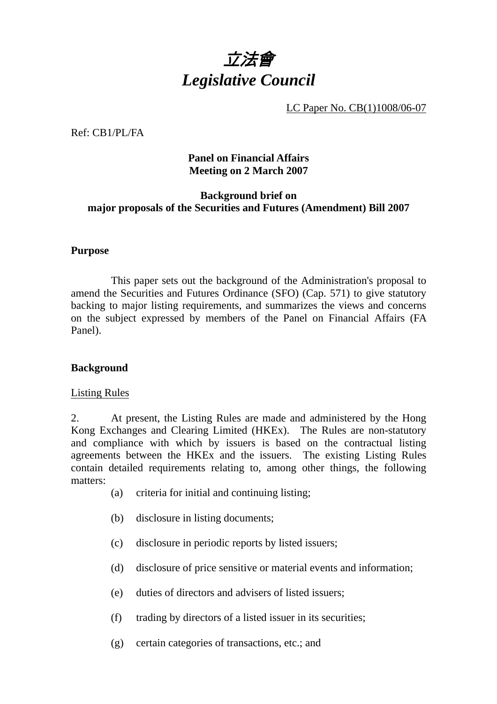

LC Paper No. CB(1)1008/06-07

Ref: CB1/PL/FA

## **Panel on Financial Affairs Meeting on 2 March 2007**

## **Background brief on major proposals of the Securities and Futures (Amendment) Bill 2007**

#### **Purpose**

 This paper sets out the background of the Administration's proposal to amend the Securities and Futures Ordinance (SFO) (Cap. 571) to give statutory backing to major listing requirements, and summarizes the views and concerns on the subject expressed by members of the Panel on Financial Affairs (FA Panel).

# **Background**

#### Listing Rules

2. At present, the Listing Rules are made and administered by the Hong Kong Exchanges and Clearing Limited (HKEx). The Rules are non-statutory and compliance with which by issuers is based on the contractual listing agreements between the HKEx and the issuers. The existing Listing Rules contain detailed requirements relating to, among other things, the following matters:

- (a) criteria for initial and continuing listing;
- (b) disclosure in listing documents;
- (c) disclosure in periodic reports by listed issuers;
- (d) disclosure of price sensitive or material events and information;
- (e) duties of directors and advisers of listed issuers;
- (f) trading by directors of a listed issuer in its securities;
- (g) certain categories of transactions, etc.; and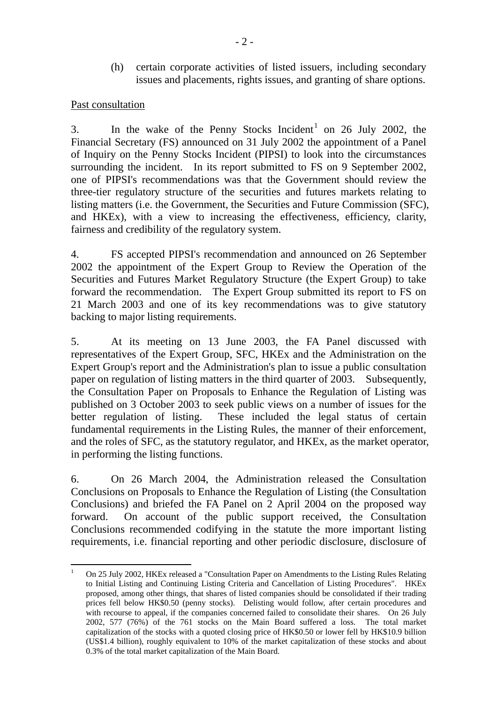(h) certain corporate activities of listed issuers, including secondary issues and placements, rights issues, and granting of share options.

#### Past consultation

3. In the wake of the Penny Stocks Incident<sup>1</sup> on 26 July 2002, the Financial Secretary (FS) announced on 31 July 2002 the appointment of a Panel of Inquiry on the Penny Stocks Incident (PIPSI) to look into the circumstances surrounding the incident. In its report submitted to FS on 9 September 2002, one of PIPSI's recommendations was that the Government should review the three-tier regulatory structure of the securities and futures markets relating to listing matters (i.e. the Government, the Securities and Future Commission (SFC), and HKEx), with a view to increasing the effectiveness, efficiency, clarity, fairness and credibility of the regulatory system.

4. FS accepted PIPSI's recommendation and announced on 26 September 2002 the appointment of the Expert Group to Review the Operation of the Securities and Futures Market Regulatory Structure (the Expert Group) to take forward the recommendation. The Expert Group submitted its report to FS on 21 March 2003 and one of its key recommendations was to give statutory backing to major listing requirements.

5. At its meeting on 13 June 2003, the FA Panel discussed with representatives of the Expert Group, SFC, HKEx and the Administration on the Expert Group's report and the Administration's plan to issue a public consultation paper on regulation of listing matters in the third quarter of 2003. Subsequently, the Consultation Paper on Proposals to Enhance the Regulation of Listing was published on 3 October 2003 to seek public views on a number of issues for the better regulation of listing. These included the legal status of certain fundamental requirements in the Listing Rules, the manner of their enforcement, and the roles of SFC, as the statutory regulator, and HKEx, as the market operator, in performing the listing functions.

6. On 26 March 2004, the Administration released the Consultation Conclusions on Proposals to Enhance the Regulation of Listing (the Consultation Conclusions) and briefed the FA Panel on 2 April 2004 on the proposed way forward. On account of the public support received, the Consultation Conclusions recommended codifying in the statute the more important listing requirements, i.e. financial reporting and other periodic disclosure, disclosure of

 $\frac{1}{1}$  On 25 July 2002, HKEx released a "Consultation Paper on Amendments to the Listing Rules Relating to Initial Listing and Continuing Listing Criteria and Cancellation of Listing Procedures". HKEx proposed, among other things, that shares of listed companies should be consolidated if their trading prices fell below HK\$0.50 (penny stocks). Delisting would follow, after certain procedures and with recourse to appeal, if the companies concerned failed to consolidate their shares. On 26 July 2002, 577 (76%) of the 761 stocks on the Main Board suffered a loss. The total market capitalization of the stocks with a quoted closing price of HK\$0.50 or lower fell by HK\$10.9 billion (US\$1.4 billion), roughly equivalent to 10% of the market capitalization of these stocks and about 0.3% of the total market capitalization of the Main Board.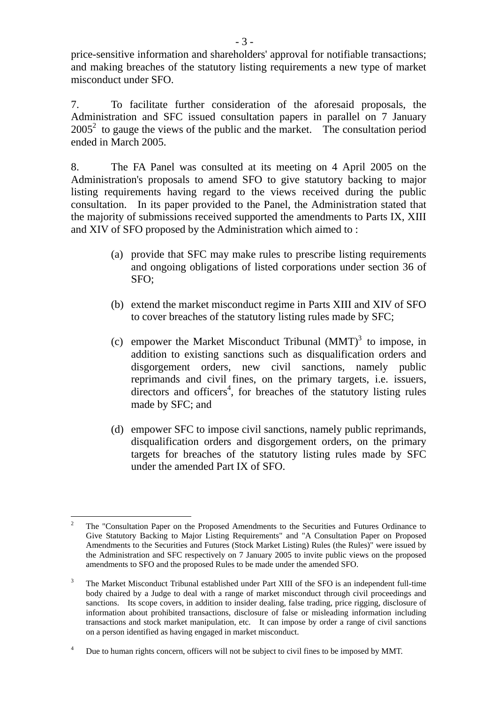price-sensitive information and shareholders' approval for notifiable transactions; and making breaches of the statutory listing requirements a new type of market misconduct under SFO.

7. To facilitate further consideration of the aforesaid proposals, the Administration and SFC issued consultation papers in parallel on 7 January  $2005<sup>2</sup>$  to gauge the views of the public and the market. The consultation period ended in March 2005.

8. The FA Panel was consulted at its meeting on 4 April 2005 on the Administration's proposals to amend SFO to give statutory backing to major listing requirements having regard to the views received during the public consultation. In its paper provided to the Panel, the Administration stated that the majority of submissions received supported the amendments to Parts IX, XIII and XIV of SFO proposed by the Administration which aimed to :

- (a) provide that SFC may make rules to prescribe listing requirements and ongoing obligations of listed corporations under section 36 of SFO;
- (b) extend the market misconduct regime in Parts XIII and XIV of SFO to cover breaches of the statutory listing rules made by SFC;
- (c) empower the Market Misconduct Tribunal  $(MMT)^3$  to impose, in addition to existing sanctions such as disqualification orders and disgorgement orders, new civil sanctions, namely public reprimands and civil fines, on the primary targets, i.e. issuers, directors and officers<sup>4</sup>, for breaches of the statutory listing rules made by SFC; and
- (d) empower SFC to impose civil sanctions, namely public reprimands, disqualification orders and disgorgement orders, on the primary targets for breaches of the statutory listing rules made by SFC under the amended Part IX of SFO.

 $\overline{a}$ 2 The "Consultation Paper on the Proposed Amendments to the Securities and Futures Ordinance to Give Statutory Backing to Major Listing Requirements" and "A Consultation Paper on Proposed Amendments to the Securities and Futures (Stock Market Listing) Rules (the Rules)" were issued by the Administration and SFC respectively on 7 January 2005 to invite public views on the proposed amendments to SFO and the proposed Rules to be made under the amended SFO.

<sup>3</sup> The Market Misconduct Tribunal established under Part XIII of the SFO is an independent full-time body chaired by a Judge to deal with a range of market misconduct through civil proceedings and sanctions. Its scope covers, in addition to insider dealing, false trading, price rigging, disclosure of information about prohibited transactions, disclosure of false or misleading information including transactions and stock market manipulation, etc. It can impose by order a range of civil sanctions on a person identified as having engaged in market misconduct.

<sup>4</sup> Due to human rights concern, officers will not be subject to civil fines to be imposed by MMT.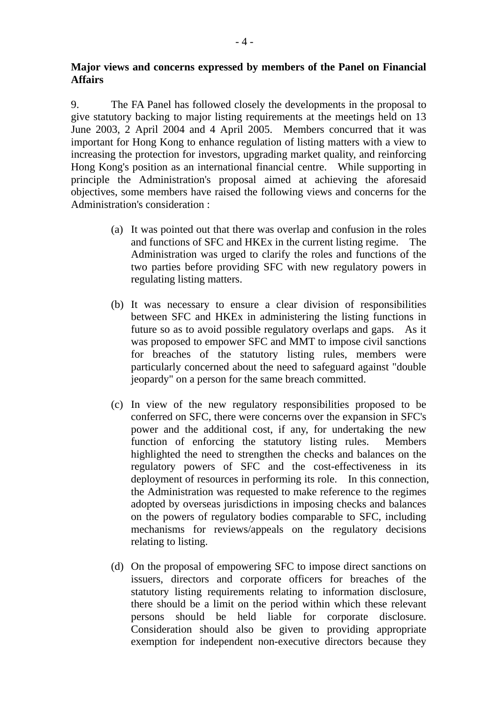## **Major views and concerns expressed by members of the Panel on Financial Affairs**

9. The FA Panel has followed closely the developments in the proposal to give statutory backing to major listing requirements at the meetings held on 13 June 2003, 2 April 2004 and 4 April 2005. Members concurred that it was important for Hong Kong to enhance regulation of listing matters with a view to increasing the protection for investors, upgrading market quality, and reinforcing Hong Kong's position as an international financial centre. While supporting in principle the Administration's proposal aimed at achieving the aforesaid objectives, some members have raised the following views and concerns for the Administration's consideration :

- (a) It was pointed out that there was overlap and confusion in the roles and functions of SFC and HKEx in the current listing regime. The Administration was urged to clarify the roles and functions of the two parties before providing SFC with new regulatory powers in regulating listing matters.
- (b) It was necessary to ensure a clear division of responsibilities between SFC and HKEx in administering the listing functions in future so as to avoid possible regulatory overlaps and gaps. As it was proposed to empower SFC and MMT to impose civil sanctions for breaches of the statutory listing rules, members were particularly concerned about the need to safeguard against "double jeopardy" on a person for the same breach committed.
- (c) In view of the new regulatory responsibilities proposed to be conferred on SFC, there were concerns over the expansion in SFC's power and the additional cost, if any, for undertaking the new function of enforcing the statutory listing rules. Members highlighted the need to strengthen the checks and balances on the regulatory powers of SFC and the cost-effectiveness in its deployment of resources in performing its role. In this connection, the Administration was requested to make reference to the regimes adopted by overseas jurisdictions in imposing checks and balances on the powers of regulatory bodies comparable to SFC, including mechanisms for reviews/appeals on the regulatory decisions relating to listing.
- (d) On the proposal of empowering SFC to impose direct sanctions on issuers, directors and corporate officers for breaches of the statutory listing requirements relating to information disclosure, there should be a limit on the period within which these relevant persons should be held liable for corporate disclosure. Consideration should also be given to providing appropriate exemption for independent non-executive directors because they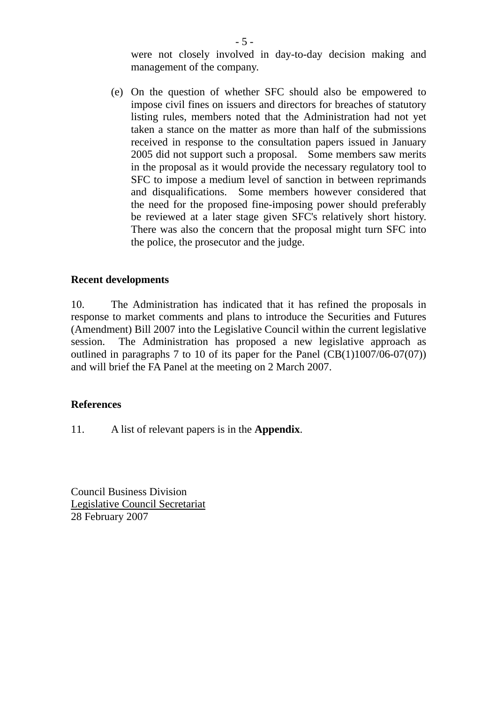were not closely involved in day-to-day decision making and management of the company.

(e) On the question of whether SFC should also be empowered to impose civil fines on issuers and directors for breaches of statutory listing rules, members noted that the Administration had not yet taken a stance on the matter as more than half of the submissions received in response to the consultation papers issued in January 2005 did not support such a proposal. Some members saw merits in the proposal as it would provide the necessary regulatory tool to SFC to impose a medium level of sanction in between reprimands and disqualifications. Some members however considered that the need for the proposed fine-imposing power should preferably be reviewed at a later stage given SFC's relatively short history. There was also the concern that the proposal might turn SFC into the police, the prosecutor and the judge.

#### **Recent developments**

10. The Administration has indicated that it has refined the proposals in response to market comments and plans to introduce the Securities and Futures (Amendment) Bill 2007 into the Legislative Council within the current legislative session. The Administration has proposed a new legislative approach as outlined in paragraphs 7 to 10 of its paper for the Panel  $(CB(1)1007/06-07(07))$ and will brief the FA Panel at the meeting on 2 March 2007.

#### **References**

11. A list of relevant papers is in the **Appendix**.

Council Business Division Legislative Council Secretariat 28 February 2007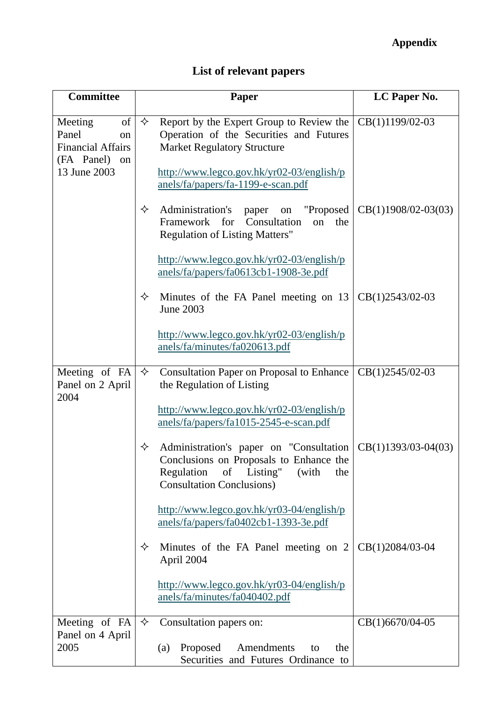# **Appendix**

# **List of relevant papers**

| <b>Committee</b>                                                                             |   | Paper                                                                                                                                                                                                                      | LC Paper No.          |
|----------------------------------------------------------------------------------------------|---|----------------------------------------------------------------------------------------------------------------------------------------------------------------------------------------------------------------------------|-----------------------|
| of<br>Meeting<br>Panel<br>on<br><b>Financial Affairs</b><br>(FA Panel)<br>on<br>13 June 2003 | ✧ | Report by the Expert Group to Review the<br>Operation of the Securities and Futures<br><b>Market Regulatory Structure</b><br>$\frac{http://www.legco.gov.hk/yr02-03/english/p}{http://www.legco.gov.hk/yr02-03/english/p}$ | CB(1)1199/02-03       |
|                                                                                              | ✧ | anels/fa/papers/fa-1199-e-scan.pdf<br>Administration's<br>on "Proposed<br>paper<br>Framework for<br>Consultation<br>on<br>the<br><b>Regulation of Listing Matters"</b>                                                     | $CB(1)1908/02-03(03)$ |
|                                                                                              |   | $\frac{http://www.legco.gov.hk/yr02-03/english/p}{http://www.legco.gov.hk/yr02-03/english/p}$<br>anels/fa/papers/fa0613cb1-1908-3e.pdf                                                                                     |                       |
|                                                                                              | ✧ | Minutes of the FA Panel meeting on 13<br>June 2003                                                                                                                                                                         | CB(1)2543/02-03       |
|                                                                                              |   | $\frac{http://www.legco.gov.hk/yr02-03/english/p}{http://www.legco.gov.hk/yr02-03/english/p}$<br>anels/fa/minutes/fa020613.pdf                                                                                             |                       |
| Meeting of FA<br>Panel on 2 April<br>2004                                                    | ✧ | <b>Consultation Paper on Proposal to Enhance</b><br>the Regulation of Listing                                                                                                                                              | CB(1)2545/02-03       |
|                                                                                              |   | http://www.legco.gov.hk/yr02-03/english/p<br>anels/fa/papers/fa1015-2545-e-scan.pdf                                                                                                                                        |                       |
|                                                                                              | ✧ | Administration's paper on "Consultation"<br>Conclusions on Proposals to Enhance the<br>Regulation of Listing" (with<br>the<br><b>Consultation Conclusions)</b>                                                             | $CB(1)1393/03-04(03)$ |
|                                                                                              |   | $\frac{http://www.legco.gov.hk/yr03-04/english/p}{http://www.legco.gov.hk/yr03-04/english/p}$<br>anels/fa/papers/fa0402cb1-1393-3e.pdf                                                                                     |                       |
|                                                                                              | ✧ | Minutes of the FA Panel meeting on 2<br>April 2004                                                                                                                                                                         | CB(1)2084/03-04       |
|                                                                                              |   | $\frac{http://www.legco.gov.hk/yr03-04/english/p}{http://www.legco.gov.hk/yr03-04/english/p}$<br>anels/fa/minutes/fa040402.pdf                                                                                             |                       |
| Meeting of FA<br>Panel on 4 April<br>2005                                                    | ✧ | Consultation papers on:                                                                                                                                                                                                    | CB(1)6670/04-05       |
|                                                                                              |   | Proposed Amendments<br>(a)<br>the<br>to<br>Securities and Futures Ordinance to                                                                                                                                             |                       |